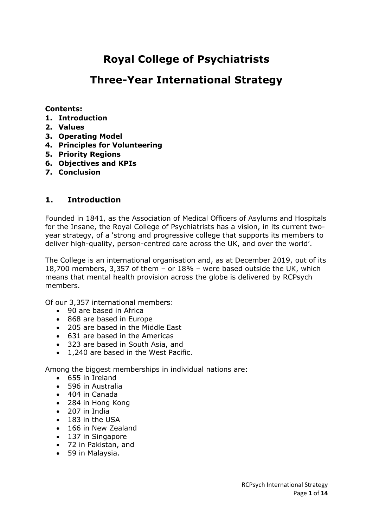# **Royal College of Psychiatrists**

# **Three-Year International Strategy**

#### **Contents:**

- **1. Introduction**
- **2. Values**
- **3. Operating Model**
- **4. Principles for Volunteering**
- **5. Priority Regions**
- **6. Objectives and KPIs**
- **7. Conclusion**

## **1. Introduction**

Founded in 1841, as the Association of Medical Officers of Asylums and Hospitals for the Insane, the Royal College of Psychiatrists has a vision, in its current twoyear strategy, of a 'strong and progressive college that supports its members to deliver high-quality, person-centred care across the UK, and over the world'.

The College is an international organisation and, as at December 2019, out of its 18,700 members, 3,357 of them – or 18% – were based outside the UK, which means that mental health provision across the globe is delivered by RCPsych members.

Of our 3,357 international members:

- 90 are based in Africa
- 868 are based in Europe
- 205 are based in the Middle East
- 631 are based in the Americas
- 323 are based in South Asia, and
- 1,240 are based in the West Pacific.

Among the biggest memberships in individual nations are:

- 655 in Ireland
- 596 in Australia
- 404 in Canada
- 284 in Hong Kong
- 207 in India
- 183 in the USA
- 166 in New Zealand
- 137 in Singapore
- 72 in Pakistan, and
- 59 in Malaysia.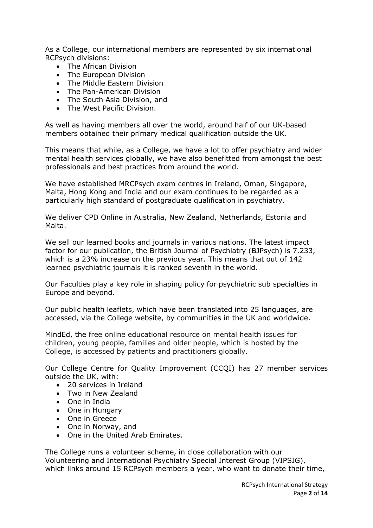As a College, our international members are represented by six international RCPsych divisions:

- The African Division
- The European Division
- The Middle Eastern Division
- The Pan-American Division
- The South Asia Division, and
- The West Pacific Division.

As well as having members all over the world, around half of our UK-based members obtained their primary medical qualification outside the UK.

This means that while, as a College, we have a lot to offer psychiatry and wider mental health services globally, we have also benefitted from amongst the best professionals and best practices from around the world.

We have established MRCPsych exam centres in Ireland, Oman, Singapore, Malta, Hong Kong and India and our exam continues to be regarded as a particularly high standard of postgraduate qualification in psychiatry.

We deliver CPD Online in Australia, New Zealand, Netherlands, Estonia and Malta.

We sell our learned books and journals in various nations. The latest impact factor for our publication, the British Journal of Psychiatry (BJPsych) is 7.233, which is a 23% increase on the previous year. This means that out of 142 learned psychiatric journals it is ranked seventh in the world.

Our Faculties play a key role in shaping policy for psychiatric sub specialties in Europe and beyond.

Our public health leaflets, which have been translated into 25 languages, are accessed, via the College website, by communities in the UK and worldwide.

MindEd, the free online educational resource on mental health issues for children, young people, families and older people, which is hosted by the College, is accessed by patients and practitioners globally.

Our College Centre for Quality Improvement (CCQI) has 27 member services outside the UK, with:

- 20 services in Ireland
- Two in New Zealand
- One in India
- One in Hungary
- One in Greece
- One in Norway, and
- One in the United Arab Emirates.

The College runs a volunteer scheme, in close collaboration with our Volunteering and International Psychiatry Special Interest Group (VIPSIG), which links around 15 RCPsych members a year, who want to donate their time,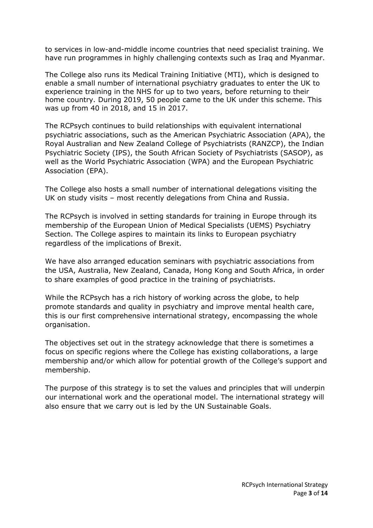to services in low-and-middle income countries that need specialist training. We have run programmes in highly challenging contexts such as Iraq and Myanmar.

The College also runs its Medical Training Initiative (MTI), which is designed to enable a small number of international psychiatry graduates to enter the UK to experience training in the NHS for up to two years, before returning to their home country. During 2019, 50 people came to the UK under this scheme. This was up from 40 in 2018, and 15 in 2017.

The RCPsych continues to build relationships with equivalent international psychiatric associations, such as the American Psychiatric Association (APA), the Royal Australian and New Zealand College of Psychiatrists (RANZCP), the Indian Psychiatric Society (IPS), the South African Society of Psychiatrists (SASOP), as well as the World Psychiatric Association (WPA) and the European Psychiatric Association (EPA).

The College also hosts a small number of international delegations visiting the UK on study visits – most recently delegations from China and Russia.

The RCPsych is involved in setting standards for training in Europe through its membership of the European Union of Medical Specialists (UEMS) Psychiatry Section. The College aspires to maintain its links to European psychiatry regardless of the implications of Brexit.

We have also arranged education seminars with psychiatric associations from the USA, Australia, New Zealand, Canada, Hong Kong and South Africa, in order to share examples of good practice in the training of psychiatrists.

While the RCPsych has a rich history of working across the globe, to help promote standards and quality in psychiatry and improve mental health care, this is our first comprehensive international strategy, encompassing the whole organisation.

The objectives set out in the strategy acknowledge that there is sometimes a focus on specific regions where the College has existing collaborations, a large membership and/or which allow for potential growth of the College's support and membership.

The purpose of this strategy is to set the values and principles that will underpin our international work and the operational model. The international strategy will also ensure that we carry out is led by the UN Sustainable Goals.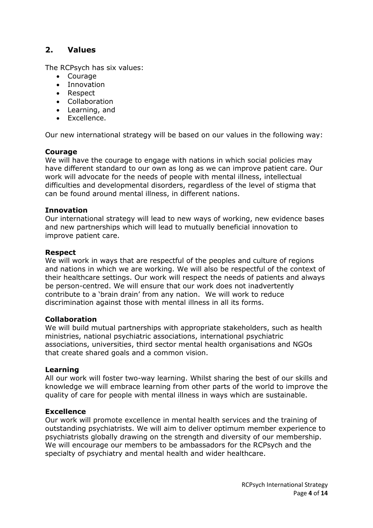# **2. Values**

The RCPsych has six values:

- Courage
- Innovation
- Respect
- Collaboration
- Learning, and
- Excellence.

Our new international strategy will be based on our values in the following way:

#### **Courage**

We will have the courage to engage with nations in which social policies may have different standard to our own as long as we can improve patient care. Our work will advocate for the needs of people with mental illness, intellectual difficulties and developmental disorders, regardless of the level of stigma that can be found around mental illness, in different nations.

#### **Innovation**

Our international strategy will lead to new ways of working, new evidence bases and new partnerships which will lead to mutually beneficial innovation to improve patient care.

#### **Respect**

We will work in ways that are respectful of the peoples and culture of regions and nations in which we are working. We will also be respectful of the context of their healthcare settings. Our work will respect the needs of patients and always be person-centred. We will ensure that our work does not inadvertently contribute to a 'brain drain' from any nation. We will work to reduce discrimination against those with mental illness in all its forms.

#### **Collaboration**

We will build mutual partnerships with appropriate stakeholders, such as health ministries, national psychiatric associations, international psychiatric associations, universities, third sector mental health organisations and NGOs that create shared goals and a common vision.

#### **Learning**

All our work will foster two-way learning. Whilst sharing the best of our skills and knowledge we will embrace learning from other parts of the world to improve the quality of care for people with mental illness in ways which are sustainable.

#### **Excellence**

Our work will promote excellence in mental health services and the training of outstanding psychiatrists. We will aim to deliver optimum member experience to psychiatrists globally drawing on the strength and diversity of our membership. We will encourage our members to be ambassadors for the RCPsych and the specialty of psychiatry and mental health and wider healthcare.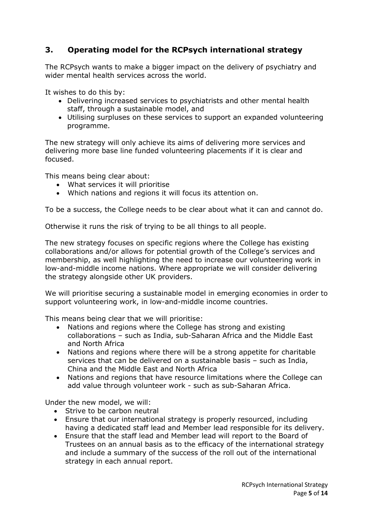# **3. Operating model for the RCPsych international strategy**

The RCPsych wants to make a bigger impact on the delivery of psychiatry and wider mental health services across the world.

It wishes to do this by:

- Delivering increased services to psychiatrists and other mental health staff, through a sustainable model, and
- Utilising surpluses on these services to support an expanded volunteering programme.

The new strategy will only achieve its aims of delivering more services and delivering more base line funded volunteering placements if it is clear and focused.

This means being clear about:

- What services it will prioritise
- Which nations and regions it will focus its attention on.

To be a success, the College needs to be clear about what it can and cannot do.

Otherwise it runs the risk of trying to be all things to all people.

The new strategy focuses on specific regions where the College has existing collaborations and/or allows for potential growth of the College's services and membership, as well highlighting the need to increase our volunteering work in low-and-middle income nations. Where appropriate we will consider delivering the strategy alongside other UK providers.

We will prioritise securing a sustainable model in emerging economies in order to support volunteering work, in low-and-middle income countries.

This means being clear that we will prioritise:

- Nations and regions where the College has strong and existing collaborations – such as India, sub-Saharan Africa and the Middle East and North Africa
- Nations and regions where there will be a strong appetite for charitable services that can be delivered on a sustainable basis – such as India, China and the Middle East and North Africa
- Nations and regions that have resource limitations where the College can add value through volunteer work - such as sub-Saharan Africa.

Under the new model, we will:

- Strive to be carbon neutral
- Ensure that our international strategy is properly resourced, including having a dedicated staff lead and Member lead responsible for its delivery.
- Ensure that the staff lead and Member lead will report to the Board of Trustees on an annual basis as to the efficacy of the international strategy and include a summary of the success of the roll out of the international strategy in each annual report.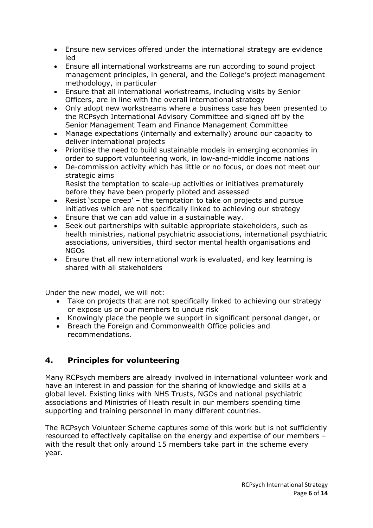- Ensure new services offered under the international strategy are evidence led
- Ensure all international workstreams are run according to sound project management principles, in general, and the College's project management methodology, in particular
- Ensure that all international workstreams, including visits by Senior Officers, are in line with the overall international strategy
- Only adopt new workstreams where a business case has been presented to the RCPsych International Advisory Committee and signed off by the Senior Management Team and Finance Management Committee
- Manage expectations (internally and externally) around our capacity to deliver international projects
- Prioritise the need to build sustainable models in emerging economies in order to support volunteering work, in low-and-middle income nations
- De-commission activity which has little or no focus, or does not meet our strategic aims Resist the temptation to scale-up activities or initiatives prematurely before they have been properly piloted and assessed
- Resist 'scope creep' the temptation to take on projects and pursue initiatives which are not specifically linked to achieving our strategy
- Ensure that we can add value in a sustainable way.
- Seek out partnerships with suitable appropriate stakeholders, such as health ministries, national psychiatric associations, international psychiatric associations, universities, third sector mental health organisations and NGOs
- Ensure that all new international work is evaluated, and key learning is shared with all stakeholders

Under the new model, we will not:

- Take on projects that are not specifically linked to achieving our strategy or expose us or our members to undue risk
- Knowingly place the people we support in significant personal danger, or
- Breach the Foreign and Commonwealth Office policies and recommendations.

# **4. Principles for volunteering**

Many RCPsych members are already involved in international volunteer work and have an interest in and passion for the sharing of knowledge and skills at a global level. Existing links with NHS Trusts, NGOs and national psychiatric associations and Ministries of Heath result in our members spending time supporting and training personnel in many different countries.

The RCPsych Volunteer Scheme captures some of this work but is not sufficiently resourced to effectively capitalise on the energy and expertise of our members – with the result that only around 15 members take part in the scheme every year.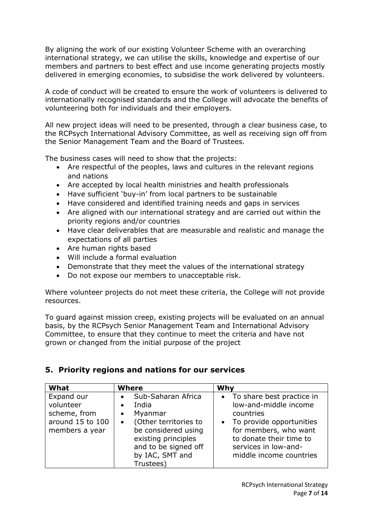By aligning the work of our existing Volunteer Scheme with an overarching international strategy, we can utilise the skills, knowledge and expertise of our members and partners to best effect and use income generating projects mostly delivered in emerging economies, to subsidise the work delivered by volunteers.

A code of conduct will be created to ensure the work of volunteers is delivered to internationally recognised standards and the College will advocate the benefits of volunteering both for individuals and their employers.

All new project ideas will need to be presented, through a clear business case, to the RCPsych International Advisory Committee, as well as receiving sign off from the Senior Management Team and the Board of Trustees.

The business cases will need to show that the projects:

- Are respectful of the peoples, laws and cultures in the relevant regions and nations
- Are accepted by local health ministries and health professionals
- Have sufficient 'buy-in' from local partners to be sustainable
- Have considered and identified training needs and gaps in services
- Are aligned with our international strategy and are carried out within the priority regions and/or countries
- Have clear deliverables that are measurable and realistic and manage the expectations of all parties
- Are human rights based
- Will include a formal evaluation
- Demonstrate that they meet the values of the international strategy
- Do not expose our members to unacceptable risk.

Where volunteer projects do not meet these criteria, the College will not provide resources.

To guard against mission creep, existing projects will be evaluated on an annual basis, by the RCPsych Senior Management Team and International Advisory Committee, to ensure that they continue to meet the criteria and have not grown or changed from the initial purpose of the project

# **5. Priority regions and nations for our services**

| What                                                                          | <b>Where</b>                                                                                                                                                                                                              | Why                                                                                                                                                                                                    |
|-------------------------------------------------------------------------------|---------------------------------------------------------------------------------------------------------------------------------------------------------------------------------------------------------------------------|--------------------------------------------------------------------------------------------------------------------------------------------------------------------------------------------------------|
| Expand our<br>volunteer<br>scheme, from<br>around 15 to 100<br>members a year | Sub-Saharan Africa<br>$\bullet$<br>India<br>$\bullet$<br>Myanmar<br>$\bullet$<br>(Other territories to<br>$\bullet$<br>be considered using<br>existing principles<br>and to be signed off<br>by IAC, SMT and<br>Trustees) | • To share best practice in<br>low-and-middle income<br>countries<br>• To provide opportunities<br>for members, who want<br>to donate their time to<br>services in low-and-<br>middle income countries |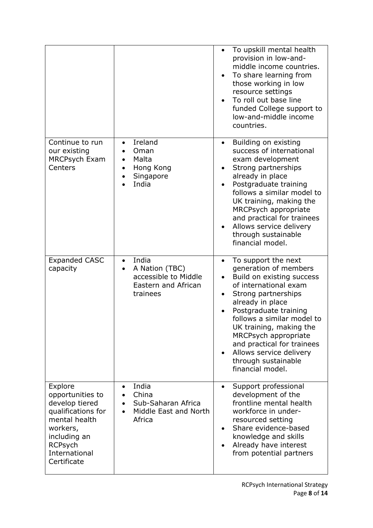|                                                                                                                                                                    |                                                                                                              | To upskill mental health<br>provision in low-and-<br>middle income countries.<br>To share learning from<br>those working in low<br>resource settings<br>To roll out base line<br>funded College support to<br>low-and-middle income<br>countries.                                                                                                                        |
|--------------------------------------------------------------------------------------------------------------------------------------------------------------------|--------------------------------------------------------------------------------------------------------------|--------------------------------------------------------------------------------------------------------------------------------------------------------------------------------------------------------------------------------------------------------------------------------------------------------------------------------------------------------------------------|
| Continue to run<br>our existing<br><b>MRCPsych Exam</b><br>Centers                                                                                                 | Ireland<br>$\bullet$<br>Oman<br>Malta<br>$\bullet$<br>Hong Kong<br>$\bullet$<br>Singapore<br>India           | Building on existing<br>$\bullet$<br>success of international<br>exam development<br>Strong partnerships<br>already in place<br>Postgraduate training<br>follows a similar model to<br>UK training, making the<br>MRCPsych appropriate<br>and practical for trainees<br>Allows service delivery<br>through sustainable<br>financial model.                               |
| <b>Expanded CASC</b><br>capacity                                                                                                                                   | India<br>$\bullet$<br>A Nation (TBC)<br>$\bullet$<br>accessible to Middle<br>Eastern and African<br>trainees | To support the next<br>$\bullet$<br>generation of members<br>Build on existing success<br>of international exam<br>Strong partnerships<br>already in place<br>Postgraduate training<br>follows a similar model to<br>UK training, making the<br>MRCPsych appropriate<br>and practical for trainees<br>Allows service delivery<br>through sustainable<br>financial model. |
| Explore<br>opportunities to<br>develop tiered<br>qualifications for<br>mental health<br>workers,<br>including an<br><b>RCPsych</b><br>International<br>Certificate | India<br>China<br>Sub-Saharan Africa<br>Middle East and North<br>Africa                                      | Support professional<br>development of the<br>frontline mental health<br>workforce in under-<br>resourced setting<br>Share evidence-based<br>knowledge and skills<br>Already have interest<br>from potential partners                                                                                                                                                    |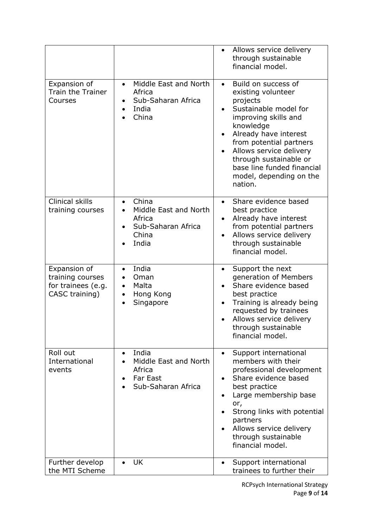|                                                                          |                                                                                      | Allows service delivery<br>$\bullet$<br>through sustainable<br>financial model.                                                                                                                                                                                                                               |
|--------------------------------------------------------------------------|--------------------------------------------------------------------------------------|---------------------------------------------------------------------------------------------------------------------------------------------------------------------------------------------------------------------------------------------------------------------------------------------------------------|
| Expansion of<br><b>Train the Trainer</b><br>Courses                      | Middle East and North<br>$\bullet$<br>Africa<br>Sub-Saharan Africa<br>India<br>China | Build on success of<br>$\bullet$<br>existing volunteer<br>projects<br>Sustainable model for<br>improving skills and<br>knowledge<br>Already have interest<br>from potential partners<br>Allows service delivery<br>through sustainable or<br>base line funded financial<br>model, depending on the<br>nation. |
| <b>Clinical skills</b><br>training courses                               | China<br>Middle East and North<br>Africa<br>Sub-Saharan Africa<br>China<br>India     | Share evidence based<br>$\bullet$<br>best practice<br>Already have interest<br>$\bullet$<br>from potential partners<br>Allows service delivery<br>through sustainable<br>financial model.                                                                                                                     |
| Expansion of<br>training courses<br>for trainees (e.g.<br>CASC training) | India<br>Oman<br>Malta<br>Hong Kong<br>٠<br>Singapore                                | Support the next<br>$\bullet$<br>generation of Members<br>Share evidence based<br>$\bullet$<br>best practice<br>Training is already being<br>requested by trainees<br>Allows service delivery<br>through sustainable<br>financial model.                                                                      |
| Roll out<br>International<br>events                                      | India<br>Middle East and North<br>Africa<br><b>Far East</b><br>Sub-Saharan Africa    | Support international<br>members with their<br>professional development<br>Share evidence based<br>best practice<br>Large membership base<br>٠<br>or,<br>Strong links with potential<br>partners<br>Allows service delivery<br>through sustainable<br>financial model.                                        |
| Further develop<br>the MTI Scheme                                        | <b>UK</b><br>$\bullet$                                                               | Support international<br>$\bullet$<br>trainees to further their                                                                                                                                                                                                                                               |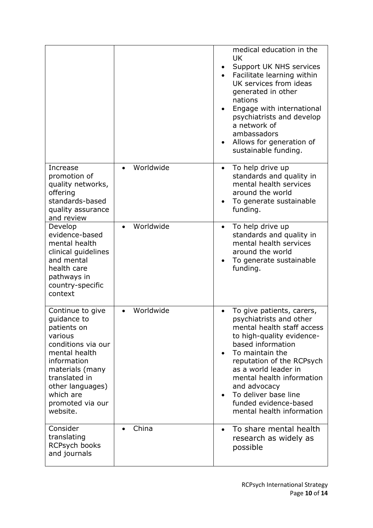|                                                                                                                                                                                                                      |           | medical education in the<br><b>UK</b><br>Support UK NHS services<br>Facilitate learning within<br>UK services from ideas<br>generated in other<br>nations<br>Engage with international<br>psychiatrists and develop<br>a network of<br>ambassadors<br>Allows for generation of<br>sustainable funding.                                               |
|----------------------------------------------------------------------------------------------------------------------------------------------------------------------------------------------------------------------|-----------|------------------------------------------------------------------------------------------------------------------------------------------------------------------------------------------------------------------------------------------------------------------------------------------------------------------------------------------------------|
| Increase<br>promotion of<br>quality networks,<br>offering<br>standards-based<br>quality assurance<br>and review                                                                                                      | Worldwide | To help drive up<br>$\bullet$<br>standards and quality in<br>mental health services<br>around the world<br>To generate sustainable<br>funding.                                                                                                                                                                                                       |
| Develop<br>evidence-based<br>mental health<br>clinical guidelines<br>and mental<br>health care<br>pathways in<br>country-specific<br>context                                                                         | Worldwide | To help drive up<br>standards and quality in<br>mental health services<br>around the world<br>To generate sustainable<br>funding.                                                                                                                                                                                                                    |
| Continue to give<br>quidance to<br>patients on<br>various<br>conditions via our<br>mental health<br>information<br>materials (many<br>translated in<br>other languages)<br>which are<br>promoted via our<br>website. | Worldwide | To give patients, carers,<br>psychiatrists and other<br>mental health staff access<br>to high-quality evidence-<br>based information<br>To maintain the<br>$\bullet$<br>reputation of the RCPsych<br>as a world leader in<br>mental health information<br>and advocacy<br>To deliver base line<br>funded evidence-based<br>mental health information |
| Consider<br>translating<br>RCPsych books<br>and journals                                                                                                                                                             | China     | To share mental health<br>$\bullet$<br>research as widely as<br>possible                                                                                                                                                                                                                                                                             |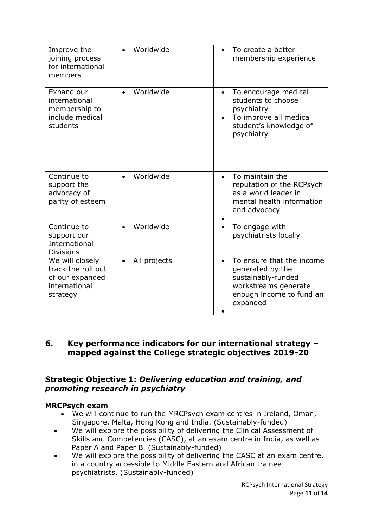| Improve the<br>joining process<br>for international<br>members                        | Worldwide              | To create a better<br>membership experience                                                                                             |
|---------------------------------------------------------------------------------------|------------------------|-----------------------------------------------------------------------------------------------------------------------------------------|
| Expand our<br>international<br>membership to<br>include medical<br>students           | Worldwide              | To encourage medical<br>$\bullet$<br>students to choose<br>psychiatry<br>To improve all medical<br>student's knowledge of<br>psychiatry |
| Continue to<br>support the<br>advocacy of<br>parity of esteem                         | Worldwide<br>$\bullet$ | To maintain the<br>$\bullet$<br>reputation of the RCPsych<br>as a world leader in<br>mental health information<br>and advocacy          |
| Continue to<br>support our<br>International<br><b>Divisions</b>                       | Worldwide              | To engage with<br>psychiatrists locally                                                                                                 |
| We will closely<br>track the roll out<br>of our expanded<br>international<br>strategy | All projects           | To ensure that the income<br>generated by the<br>sustainably-funded<br>workstreams generate<br>enough income to fund an<br>expanded     |

# **6. Key performance indicators for our international strategy – mapped against the College strategic objectives 2019-20**

# **Strategic Objective 1:** *Delivering education and training, and promoting research in psychiatry*

## **MRCPsych exam**

- We will continue to run the MRCPsych exam centres in Ireland, Oman, Singapore, Malta, Hong Kong and India. (Sustainably-funded)
- We will explore the possibility of delivering the Clinical Assessment of Skills and Competencies (CASC), at an exam centre in India, as well as Paper A and Paper B. (Sustainably-funded)
- We will explore the possibility of delivering the CASC at an exam centre, in a country accessible to Middle Eastern and African trainee psychiatrists. (Sustainably-funded)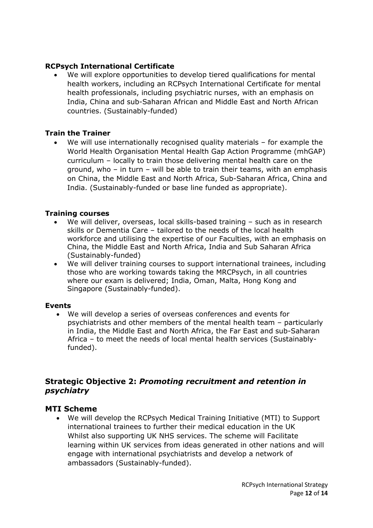## **RCPsych International Certificate**

We will explore opportunities to develop tiered qualifications for mental health workers, including an RCPsych International Certificate for mental health professionals, including psychiatric nurses, with an emphasis on India, China and sub-Saharan African and Middle East and North African countries. (Sustainably-funded)

#### **Train the Trainer**

We will use internationally recognised quality materials  $-$  for example the World Health Organisation Mental Health Gap Action Programme (mhGAP) curriculum – locally to train those delivering mental health care on the ground, who – in turn – will be able to train their teams, with an emphasis on China, the Middle East and North Africa, Sub-Saharan Africa, China and India. (Sustainably-funded or base line funded as appropriate).

#### **Training courses**

- We will deliver, overseas, local skills-based training such as in research skills or Dementia Care – tailored to the needs of the local health workforce and utilising the expertise of our Faculties, with an emphasis on China, the Middle East and North Africa, India and Sub Saharan Africa (Sustainably-funded)
- We will deliver training courses to support international trainees, including those who are working towards taking the MRCPsych, in all countries where our exam is delivered; India, Oman, Malta, Hong Kong and Singapore (Sustainably-funded).

#### **Events**

• We will develop a series of overseas conferences and events for psychiatrists and other members of the mental health team – particularly in India, the Middle East and North Africa, the Far East and sub-Saharan Africa – to meet the needs of local mental health services (Sustainablyfunded).

## **Strategic Objective 2:** *Promoting recruitment and retention in psychiatry*

#### **MTI Scheme**

• We will develop the RCPsych Medical Training Initiative (MTI) to Support international trainees to further their medical education in the UK Whilst also supporting UK NHS services. The scheme will Facilitate learning within UK services from ideas generated in other nations and will engage with international psychiatrists and develop a network of ambassadors (Sustainably-funded).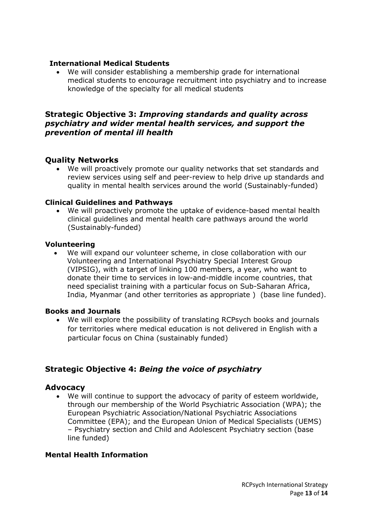#### **International Medical Students**

• We will consider establishing a membership grade for international medical students to encourage recruitment into psychiatry and to increase knowledge of the specialty for all medical students

### **Strategic Objective 3:** *Improving standards and quality across psychiatry and wider mental health services, and support the prevention of mental ill health*

### **Quality Networks**

• We will proactively promote our quality networks that set standards and review services using self and peer-review to help drive up standards and quality in mental health services around the world (Sustainably-funded)

#### **Clinical Guidelines and Pathways**

• We will proactively promote the uptake of evidence-based mental health clinical guidelines and mental health care pathways around the world (Sustainably-funded)

#### **Volunteering**

We will expand our volunteer scheme, in close collaboration with our Volunteering and International Psychiatry Special Interest Group (VIPSIG), with a target of linking 100 members, a year, who want to donate their time to services in low-and-middle income countries, that need specialist training with a particular focus on Sub-Saharan Africa, India, Myanmar (and other territories as appropriate ) (base line funded).

#### **Books and Journals**

• We will explore the possibility of translating RCPsych books and journals for territories where medical education is not delivered in English with a particular focus on China (sustainably funded)

## **Strategic Objective 4:** *Being the voice of psychiatry*

#### **Advocacy**

We will continue to support the advocacy of parity of esteem worldwide, through our membership of the World Psychiatric Association (WPA); the European Psychiatric Association/National Psychiatric Associations Committee (EPA); and the European Union of Medical Specialists (UEMS) – Psychiatry section and Child and Adolescent Psychiatry section (base line funded)

#### **Mental Health Information**